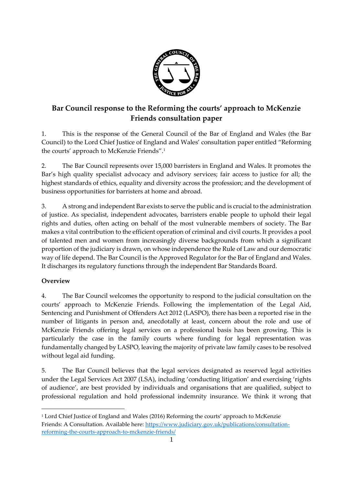

# **Bar Council response to the Reforming the courts' approach to McKenzie Friends consultation paper**

1. This is the response of the General Council of the Bar of England and Wales (the Bar Council) to the Lord Chief Justice of England and Wales' consultation paper entitled "Reforming the courts' approach to McKenzie Friends".<sup>1</sup>

2. The Bar Council represents over 15,000 barristers in England and Wales. It promotes the Bar's high quality specialist advocacy and advisory services; fair access to justice for all; the highest standards of ethics, equality and diversity across the profession; and the development of business opportunities for barristers at home and abroad.

3. A strong and independent Bar exists to serve the public and is crucial to the administration of justice. As specialist, independent advocates, barristers enable people to uphold their legal rights and duties, often acting on behalf of the most vulnerable members of society. The Bar makes a vital contribution to the efficient operation of criminal and civil courts. It provides a pool of talented men and women from increasingly diverse backgrounds from which a significant proportion of the judiciary is drawn, on whose independence the Rule of Law and our democratic way of life depend. The Bar Council is the Approved Regulator for the Bar of England and Wales. It discharges its regulatory functions through the independent Bar Standards Board.

## **Overview**

 $\overline{a}$ 

4. The Bar Council welcomes the opportunity to respond to the judicial consultation on the courts' approach to McKenzie Friends. Following the implementation of the Legal Aid, Sentencing and Punishment of Offenders Act 2012 (LASPO), there has been a reported rise in the number of litigants in person and, anecdotally at least, concern about the role and use of McKenzie Friends offering legal services on a professional basis has been growing. This is particularly the case in the family courts where funding for legal representation was fundamentally changed by LASPO, leaving the majority of private law family cases to be resolved without legal aid funding.

5. The Bar Council believes that the legal services designated as reserved legal activities under the Legal Services Act 2007 (LSA), including 'conducting litigation' and exercising 'rights of audience', are best provided by individuals and organisations that are qualified, subject to professional regulation and hold professional indemnity insurance. We think it wrong that

<sup>1</sup> Lord Chief Justice of England and Wales (2016) Reforming the courts' approach to McKenzie Friends: A Consultation. Available here: [https://www.judiciary.gov.uk/publications/consultation](https://www.judiciary.gov.uk/publications/consultation-reforming-the-courts-approach-to-mckenzie-friends/)[reforming-the-courts-approach-to-mckenzie-friends/](https://www.judiciary.gov.uk/publications/consultation-reforming-the-courts-approach-to-mckenzie-friends/)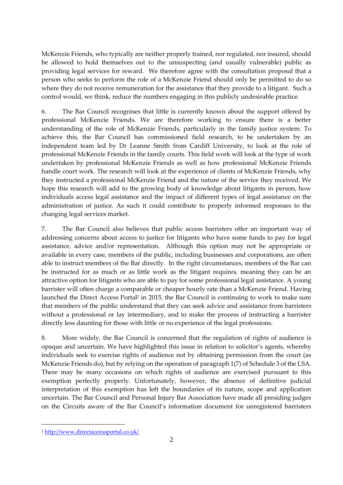McKenzie Friends, who typically are neither properly trained, nor regulated, nor insured, should be allowed to hold themselves out to the unsuspecting (and usually vulnerable) public as providing legal services for reward. We therefore agree with the consultation proposal that a person who seeks to perform the role of a McKenzie Friend should only be permitted to do so where they do not receive remuneration for the assistance that they provide to a litigant. Such a control would, we think, reduce the numbers engaging in this publicly undesirable practice.

6. The Bar Council recognises that little is currently known about the support offered by professional McKenzie Friends. We are therefore working to ensure there is a better understanding of the role of McKenzie Friends, particularly in the family justice system. To achieve this, the Bar Council has commissioned field research, to be undertaken by an independent team led by Dr Leanne Smith from Cardiff University, to look at the role of professional McKenzie Friends in the family courts. This field work will look at the type of work undertaken by professional McKenzie Friends as well as how professional McKenzie Friends handle court work. The research will look at the experience of clients of McKenzie Friends, why they instructed a professional McKenzie Friend and the nature of the service they received. We hope this research will add to the growing body of knowledge about litigants in person, how individuals access legal assistance and the impact of different types of legal assistance on the administration of justice. As such it could contribute to properly informed responses to the changing legal services market.

7. The Bar Council also believes that public access barristers offer an important way of addressing concerns about access to justice for litigants who have some funds to pay for legal assistance, advice and/or representation. Although this option may not be appropriate or available in every case, members of the public, including businesses and corporations, are often able to instruct members of the Bar directly. In the right circumstances, members of the Bar can be instructed for as much or as little work as the litigant requires, meaning they can be an attractive option for litigants who are able to pay for some professional legal assistance. A young barrister will often charge a comparable or cheaper hourly rate than a McKenzie Friend. Having launched the Direct Access Portal<sup>2</sup> in 2015, the Bar Council is continuing to work to make sure that members of the public understand that they can seek advice and assistance from barristers without a professional or lay intermediary, and to make the process of instructing a barrister directly less daunting for those with little or no experience of the legal professions.

8. More widely, the Bar Council is concerned that the regulation of rights of audience is opaque and uncertain. We have highlighted this issue in relation to solicitor's agents, whereby individuals seek to exercise rights of audience not by obtaining permission from the court (as McKenzie Friends do), but by relying on the operation of paragraph 1(7) of Schedule 3 of the LSA. There may be many occasions on which rights of audience are exercised pursuant to this exemption perfectly properly. Unfortunately, however, the absence of definitive judicial interpretation of this exemption has left the boundaries of its nature, scope and application uncertain. The Bar Council and Personal Injury Bar Association have made all presiding judges on the Circuits aware of the Bar Council's information document for unregistered barristers

 $\overline{a}$ 

<sup>2</sup> <http://www.directaccessportal.co.uk/>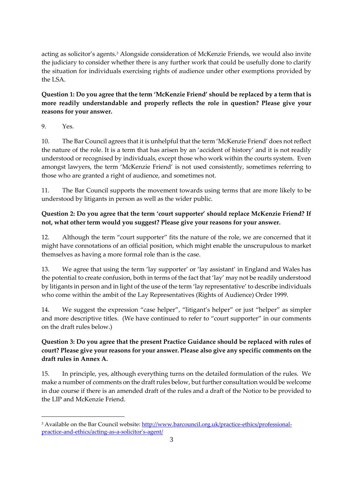acting as solicitor's agents.<sup>3</sup> Alongside consideration of McKenzie Friends, we would also invite the judiciary to consider whether there is any further work that could be usefully done to clarify the situation for individuals exercising rights of audience under other exemptions provided by the LSA.

## **Question 1: Do you agree that the term 'McKenzie Friend' should be replaced by a term that is more readily understandable and properly reflects the role in question? Please give your reasons for your answer.**

9. Yes.

10. The Bar Council agrees that it is unhelpful that the term 'McKenzie Friend' does not reflect the nature of the role. It is a term that has arisen by an 'accident of history' and it is not readily understood or recognised by individuals, except those who work within the courts system. Even amongst lawyers, the term 'McKenzie Friend' is not used consistently, sometimes referring to those who are granted a right of audience, and sometimes not.

11. The Bar Council supports the movement towards using terms that are more likely to be understood by litigants in person as well as the wider public.

## **Question 2: Do you agree that the term 'court supporter' should replace McKenzie Friend? If not, what other term would you suggest? Please give your reasons for your answer.**

12. Although the term "court supporter" fits the nature of the role, we are concerned that it might have connotations of an official position, which might enable the unscrupulous to market themselves as having a more formal role than is the case.

13. We agree that using the term 'lay supporter' or 'lay assistant' in England and Wales has the potential to create confusion, both in terms of the fact that 'lay' may not be readily understood by litigants in person and in light of the use of the term 'lay representative' to describe individuals who come within the ambit of the Lay Representatives (Rights of Audience) Order 1999.

14. We suggest the expression "case helper", "litigant's helper" or just "helper" as simpler and more descriptive titles. (We have continued to refer to "court supporter" in our comments on the draft rules below.)

# **Question 3: Do you agree that the present Practice Guidance should be replaced with rules of court? Please give your reasons for your answer. Please also give any specific comments on the draft rules in Annex A.**

15. In principle, yes, although everything turns on the detailed formulation of the rules. We make a number of comments on the draft rules below, but further consultation would be welcome in due course if there is an amended draft of the rules and a draft of the Notice to be provided to the LIP and McKenzie Friend.

<sup>&</sup>lt;sup>3</sup> Available on the Bar Council website: [http://www.barcouncil.org.uk/practice-ethics/professional](http://www.barcouncil.org.uk/practice-ethics/professional-practice-and-ethics/acting-as-a-solicitor%27s-agent/)[practice-and-ethics/acting-as-a-solicitor's-agent/](http://www.barcouncil.org.uk/practice-ethics/professional-practice-and-ethics/acting-as-a-solicitor%27s-agent/)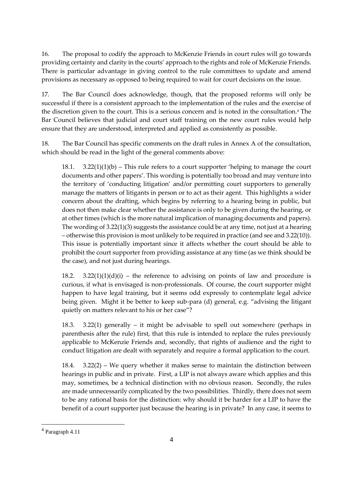16. The proposal to codify the approach to McKenzie Friends in court rules will go towards providing certainty and clarity in the courts' approach to the rights and role of McKenzie Friends. There is particular advantage in giving control to the rule committees to update and amend provisions as necessary as opposed to being required to wait for court decisions on the issue.

17. The Bar Council does acknowledge, though, that the proposed reforms will only be successful if there is a consistent approach to the implementation of the rules and the exercise of the discretion given to the court. This is a serious concern and is noted in the consultation.<sup>4</sup> The Bar Council believes that judicial and court staff training on the new court rules would help ensure that they are understood, interpreted and applied as consistently as possible.

18. The Bar Council has specific comments on the draft rules in Annex A of the consultation, which should be read in the light of the general comments above:

18.1. 3.22(1)(1)(b) – This rule refers to a court supporter 'helping to manage the court documents and other papers'. This wording is potentially too broad and may venture into the territory of 'conducting litigation' and/or permitting court supporters to generally manage the matters of litigants in person or to act as their agent. This highlights a wider concern about the drafting, which begins by referring to a hearing being in public, but does not then make clear whether the assistance is only to be given during the hearing, or at other times (which is the more natural implication of managing documents and papers). The wording of 3.22(1)(3) suggests the assistance could be at any time, not just at a hearing – otherwise this provision is most unlikely to be required in practice (and see and 3.22(10)). This issue is potentially important since it affects whether the court should be able to prohibit the court supporter from providing assistance at any time (as we think should be the case), and not just during hearings.

18.2. 3.22(1)(1)(d)(i) – the reference to advising on points of law and procedure is curious, if what is envisaged is non-professionals. Of course, the court supporter might happen to have legal training, but it seems odd expressly to contemplate legal advice being given. Might it be better to keep sub-para (d) general, e.g. "advising the litigant quietly on matters relevant to his or her case"?

18.3. 3.22(1) generally – it might be advisable to spell out somewhere (perhaps in parenthesis after the rule) first, that this rule is intended to replace the rules previously applicable to McKenzie Friends and, secondly, that rights of audience and the right to conduct litigation are dealt with separately and require a formal application to the court.

18.4.  $3.22(2)$  – We query whether it makes sense to maintain the distinction between hearings in public and in private. First, a LIP is not always aware which applies and this may, sometimes, be a technical distinction with no obvious reason. Secondly, the rules are made unnecessarily complicated by the two possibilities. Thirdly, there does not seem to be any rational basis for the distinction: why should it be harder for a LIP to have the benefit of a court supporter just because the hearing is in private? In any case, it seems to

 $\overline{a}$ 

<sup>4</sup> Paragraph 4.11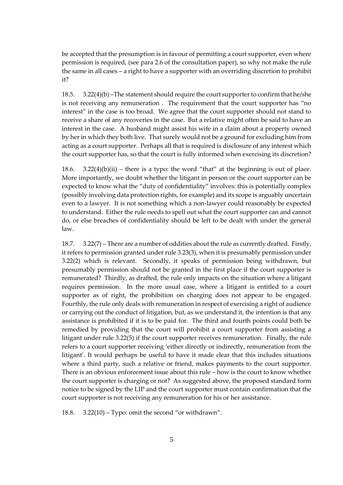be accepted that the presumption is in favour of permitting a court supporter, even where permission is required, (see para 2.6 of the consultation paper), so why not make the rule the same in all cases – a right to have a supporter with an overriding discretion to prohibit it?

18.5. 3.22(4)(b) –The statement should require the court supporter to confirm that he/she is not receiving any remuneration . The requirement that the court supporter has "no interest" in the case is too broad. We agree that the court supporter should not stand to receive a share of any recoveries in the case. But a relative might often be said to have an interest in the case. A husband might assist his wife in a claim about a property owned by her in which they both live. That surely would not be a ground for excluding him from acting as a court supporter. Perhaps all that is required is disclosure of any interest which the court supporter has, so that the court is fully informed when exercising its discretion?

18.6. 3.22(4)(b)(ii) – there is a typo: the word "that" at the beginning is out of place. More importantly, we doubt whether the litigant in person or the court supporter can be expected to know what the "duty of confidentiality" involves: this is potentially complex (possibly involving data protection rights, for example) and its scope is arguably uncertain even to a lawyer. It is not something which a non-lawyer could reasonably be expected to understand. Either the rule needs to spell out what the court supporter can and cannot do, or else breaches of confidentiality should be left to be dealt with under the general law.

18.7. 3.22(7) – There are a number of oddities about the rule as currently drafted. Firstly, it refers to permission granted under rule 3.23(3), when it is presumably permission under 3.22(2) which is relevant. Secondly, it speaks of permission being withdrawn, but presumably permission should not be granted in the first place if the court supporter is remunerated? Thirdly, as drafted, the rule only impacts on the situation where a litigant requires permission. In the more usual case, where a litigant is entitled to a court supporter as of right, the prohibition on charging does not appear to be engaged. Fourthly, the rule only deals with remuneration in respect of exercising a right of audience or carrying out the conduct of litigation, but, as we understand it, the intention is that any assistance is prohibited if it is to be paid for. The third and fourth points could both be remedied by providing that the court will prohibit a court supporter from assisting a litigant under rule 3.22(5) if the court supporter receives remuneration. Finally, the rule refers to a court supporter receiving 'either directly or indirectly, remuneration from the litigant'. It would perhaps be useful to have it made clear that this includes situations where a third party, such a relative or friend, makes payments to the court supporter. There is an obvious enforcement issue about this rule – how is the court to know whether the court supporter is charging or not? As suggested above, the proposed standard form notice to be signed by the LIP and the court supporter must contain confirmation that the court supporter is not receiving any remuneration for his or her assistance.

18.8. 3.22(10) – Typo: omit the second "or withdrawn".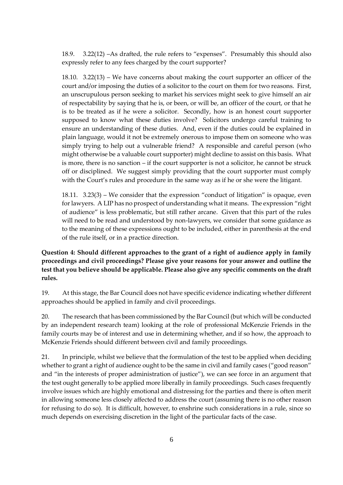18.9. 3.22(12) –As drafted, the rule refers to "expenses". Presumably this should also expressly refer to any fees charged by the court supporter?

18.10. 3.22(13) – We have concerns about making the court supporter an officer of the court and/or imposing the duties of a solicitor to the court on them for two reasons. First, an unscrupulous person seeking to market his services might seek to give himself an air of respectability by saying that he is, or been, or will be, an officer of the court, or that he is to be treated as if he were a solicitor. Secondly, how is an honest court supporter supposed to know what these duties involve? Solicitors undergo careful training to ensure an understanding of these duties. And, even if the duties could be explained in plain language, would it not be extremely onerous to impose them on someone who was simply trying to help out a vulnerable friend? A responsible and careful person (who might otherwise be a valuable court supporter) might decline to assist on this basis. What is more, there is no sanction – if the court supporter is not a solicitor, he cannot be struck off or disciplined. We suggest simply providing that the court supporter must comply with the Court's rules and procedure in the same way as if he or she were the litigant.

18.11. 3.23(3) – We consider that the expression "conduct of litigation" is opaque, even for lawyers. A LIP has no prospect of understanding what it means. The expression "right of audience" is less problematic, but still rather arcane. Given that this part of the rules will need to be read and understood by non-lawyers, we consider that some guidance as to the meaning of these expressions ought to be included, either in parenthesis at the end of the rule itself, or in a practice direction.

**Question 4: Should different approaches to the grant of a right of audience apply in family proceedings and civil proceedings? Please give your reasons for your answer and outline the test that you believe should be applicable. Please also give any specific comments on the draft rules.**

19. At this stage, the Bar Council does not have specific evidence indicating whether different approaches should be applied in family and civil proceedings.

20. The research that has been commissioned by the Bar Council (but which will be conducted by an independent research team) looking at the role of professional McKenzie Friends in the family courts may be of interest and use in determining whether, and if so how, the approach to McKenzie Friends should different between civil and family proceedings.

21. In principle, whilst we believe that the formulation of the test to be applied when deciding whether to grant a right of audience ought to be the same in civil and family cases ("good reason" and "in the interests of proper administration of justice"), we can see force in an argument that the test ought generally to be applied more liberally in family proceedings. Such cases frequently involve issues which are highly emotional and distressing for the parties and there is often merit in allowing someone less closely affected to address the court (assuming there is no other reason for refusing to do so). It is difficult, however, to enshrine such considerations in a rule, since so much depends on exercising discretion in the light of the particular facts of the case.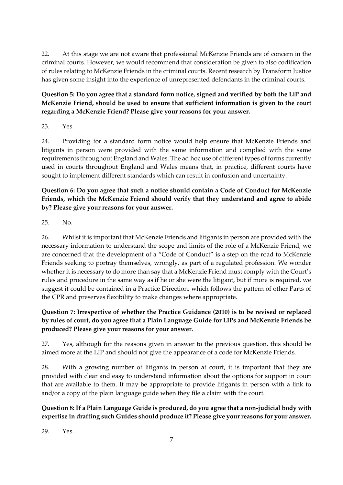22. At this stage we are not aware that professional McKenzie Friends are of concern in the criminal courts. However, we would recommend that consideration be given to also codification of rules relating to McKenzie Friends in the criminal courts. Recent research by Transform Justice has given some insight into the experience of unrepresented defendants in the criminal courts.

## **Question 5: Do you agree that a standard form notice, signed and verified by both the LiP and McKenzie Friend, should be used to ensure that sufficient information is given to the court regarding a McKenzie Friend? Please give your reasons for your answer.**

23. Yes.

24. Providing for a standard form notice would help ensure that McKenzie Friends and litigants in person were provided with the same information and complied with the same requirements throughout England and Wales. The ad hoc use of different types of forms currently used in courts throughout England and Wales means that, in practice, different courts have sought to implement different standards which can result in confusion and uncertainty.

### **Question 6: Do you agree that such a notice should contain a Code of Conduct for McKenzie Friends, which the McKenzie Friend should verify that they understand and agree to abide by? Please give your reasons for your answer.**

25. No.

26. Whilst it is important that McKenzie Friends and litigants in person are provided with the necessary information to understand the scope and limits of the role of a McKenzie Friend, we are concerned that the development of a "Code of Conduct" is a step on the road to McKenzie Friends seeking to portray themselves, wrongly, as part of a regulated profession. We wonder whether it is necessary to do more than say that a McKenzie Friend must comply with the Court's rules and procedure in the same way as if he or she were the litigant, but if more is required, we suggest it could be contained in a Practice Direction, which follows the pattern of other Parts of the CPR and preserves flexibility to make changes where appropriate.

# **Question 7: Irrespective of whether the Practice Guidance (2010) is to be revised or replaced by rules of court, do you agree that a Plain Language Guide for LIPs and McKenzie Friends be produced? Please give your reasons for your answer.**

27. Yes, although for the reasons given in answer to the previous question, this should be aimed more at the LIP and should not give the appearance of a code for McKenzie Friends.

28. With a growing number of litigants in person at court, it is important that they are provided with clear and easy to understand information about the options for support in court that are available to them. It may be appropriate to provide litigants in person with a link to and/or a copy of the plain language guide when they file a claim with the court.

# **Question 8: If a Plain Language Guide is produced, do you agree that a non-judicial body with expertise in drafting such Guides should produce it? Please give your reasons for your answer.**

29. Yes.